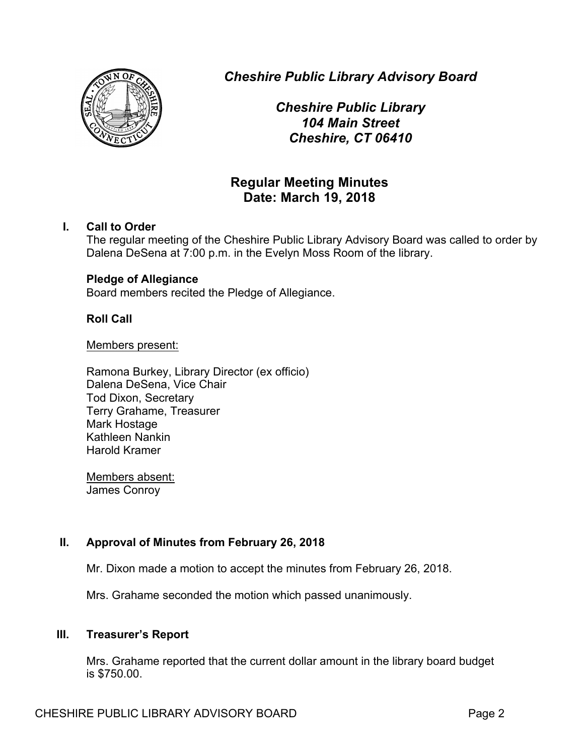

*Cheshire Public Library Advisory Board*

*Cheshire Public Library 104 Main Street Cheshire, CT 06410*

# **Regular Meeting Minutes Date: March 19, 2018**

# **I. Call to Order**

The regular meeting of the Cheshire Public Library Advisory Board was called to order by Dalena DeSena at 7:00 p.m. in the Evelyn Moss Room of the library.

# **Pledge of Allegiance**

Board members recited the Pledge of Allegiance.

# **Roll Call**

Members present:

Ramona Burkey, Library Director (ex officio) Dalena DeSena, Vice Chair Tod Dixon, Secretary Terry Grahame, Treasurer Mark Hostage Kathleen Nankin Harold Kramer

Members absent: James Conroy

# **II. Approval of Minutes from February 26, 2018**

Mr. Dixon made a motion to accept the minutes from February 26, 2018.

Mrs. Grahame seconded the motion which passed unanimously.

# **III. Treasurer's Report**

Mrs. Grahame reported that the current dollar amount in the library board budget is \$750.00.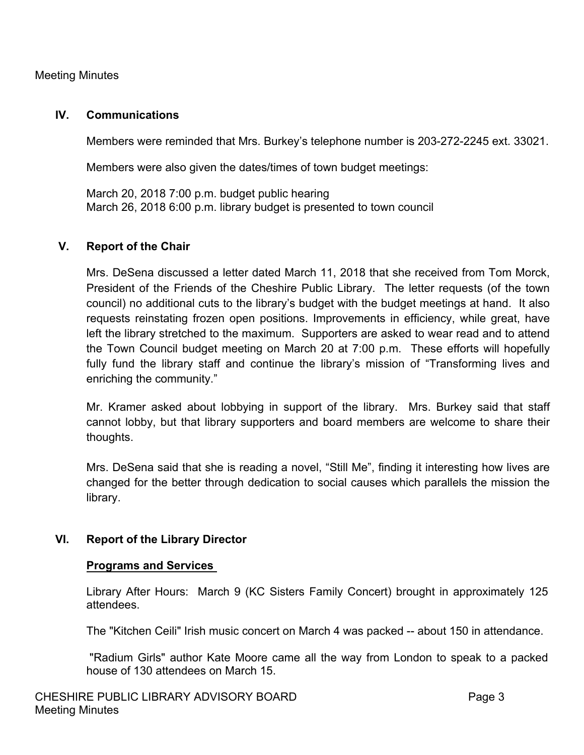# Meeting Minutes

#### **IV. Communications**

Members were reminded that Mrs. Burkey's telephone number is 203-272-2245 ext. 33021.

Members were also given the dates/times of town budget meetings:

March 20, 2018 7:00 p.m. budget public hearing March 26, 2018 6:00 p.m. library budget is presented to town council

#### **V. Report of the Chair**

Mrs. DeSena discussed a letter dated March 11, 2018 that she received from Tom Morck, President of the Friends of the Cheshire Public Library. The letter requests (of the town council) no additional cuts to the library's budget with the budget meetings at hand. It also requests reinstating frozen open positions. Improvements in efficiency, while great, have left the library stretched to the maximum. Supporters are asked to wear read and to attend the Town Council budget meeting on March 20 at 7:00 p.m. These efforts will hopefully fully fund the library staff and continue the library's mission of "Transforming lives and enriching the community."

Mr. Kramer asked about lobbying in support of the library. Mrs. Burkey said that staff cannot lobby, but that library supporters and board members are welcome to share their thoughts.

Mrs. DeSena said that she is reading a novel, "Still Me", finding it interesting how lives are changed for the better through dedication to social causes which parallels the mission the library.

# **VI. Report of the Library Director**

#### **Programs and Services**

Library After Hours: March 9 (KC Sisters Family Concert) brought in approximately 125 attendees.

The "Kitchen Ceili" Irish music concert on March 4 was packed -- about 150 in attendance.

"Radium Girls" author Kate Moore came all the way from London to speak to a packed house of 130 attendees on March 15.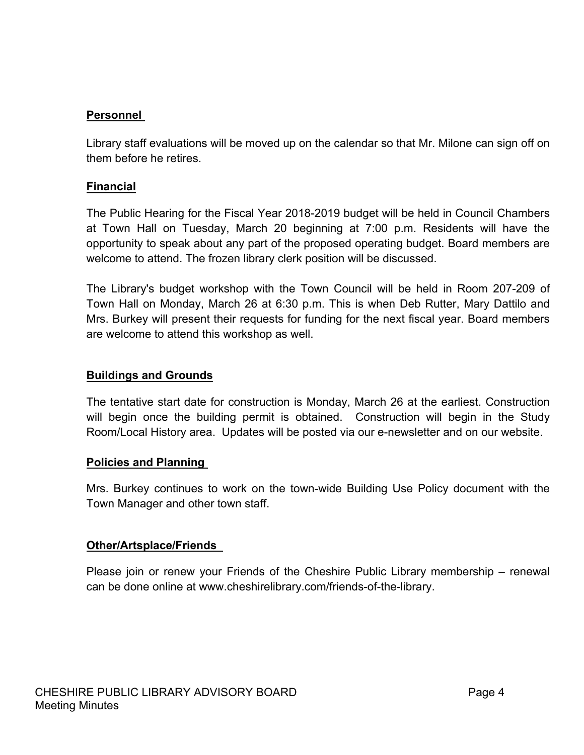# **Personnel**

Library staff evaluations will be moved up on the calendar so that Mr. Milone can sign off on them before he retires.

# **Financial**

The Public Hearing for the Fiscal Year 2018-2019 budget will be held in Council Chambers at Town Hall on Tuesday, March 20 beginning at 7:00 p.m. Residents will have the opportunity to speak about any part of the proposed operating budget. Board members are welcome to attend. The frozen library clerk position will be discussed.

The Library's budget workshop with the Town Council will be held in Room 207-209 of Town Hall on Monday, March 26 at 6:30 p.m. This is when Deb Rutter, Mary Dattilo and Mrs. Burkey will present their requests for funding for the next fiscal year. Board members are welcome to attend this workshop as well.

# **Buildings and Grounds**

The tentative start date for construction is Monday, March 26 at the earliest. Construction will begin once the building permit is obtained. Construction will begin in the Study Room/Local History area. Updates will be posted via our e-newsletter and on our website.

#### **Policies and Planning**

Mrs. Burkey continues to work on the town-wide Building Use Policy document with the Town Manager and other town staff.

#### **Other/Artsplace/Friends**

Please join or renew your Friends of the Cheshire Public Library membership – renewal can be done online at www.cheshirelibrary.com/friends-of-the-library.